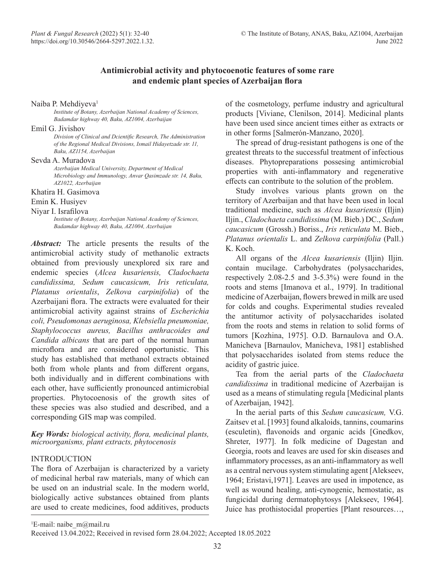# **Antimicrobial activity and phytocoenotic features of some rare and endemic plant species of Azerbaijan flora**

#### Naiba P. Mehdiyeva<sup>1</sup>

*Institute of Botany, Azerbaijan National Academy of Sciences, Badamdar highway 40, Baku, AZ1004, Azerbaijan* 

#### Emil G. Jivishov

*Division of Clinical and Dcientific Research, The Administration of the Regional Medical Divisions, Ismail Hidayetzade str. 11, Baku, AZ1154, Azerbaijan*

## Sevda A. Muradova

*Azerbaijan Medical University, Department of Medical Microbiology and Immunology, Anvar Qasimzade str. 14, Baku, AZ1022, Azerbaijan*

## Khatira H. Gasimova

Emin K. Husiyev

## Niyar I. Israfilova

*Institute of Botany, Azerbaijan National Academy of Sciences, Badamdar highway 40, Baku, AZ1004, Azerbaijan*

*Abstract:* The article presents the results of the antimicrobial activity study of methanolic extracts obtained from previously unexplored six rare and endemic species (*Alcea kusariensis, Cladochaeta candidissima, Sedum caucasicum, Iris reticulata, Platanus orientalis*, *Zelkova carpinifolia*) of the Azerbaijani flora. The extracts were evaluated for their antimicrobial activity against strains of *Escherichia coli, Pseudomonas aeruginosa, Klebsiella pneumoniae, Staphylococcus aureus, Bacillus anthracoides and Candida albicans* that are part of the normal human microflora and are considered opportunistic. This study has established that methanol extracts obtained both from whole plants and from different organs, both individually and in different combinations with each other, have sufficiently pronounced antimicrobial properties. Phytocoenosis of the growth sites of these species was also studied and described, and a corresponding GIS map was compiled.

## *Key Words: biological activity, flora, medicinal plants, microorganisms, plant extracts, phytocenosis*

## INTRODUCTION

The flora of Azerbaijan is characterized by a variety of medicinal herbal raw materials, many of which can be used on an industrial scale. In the modern world, biologically active substances obtained from plants are used to create medicines, food additives, products

of the cosmetology, perfume industry and agricultural products [Viviane, Clenilson, 2014]. Medicinal plants have been used since ancient times either as extracts or in other forms [Salmerón-Manzano, 2020].

The spread of drug-resistant pathogens is one of the greatest threats to the successful treatment of infectious diseases. Phytopreparations possesing antimicrobial properties with anti-inflammatory and regenerative effects can contribute to the solution of the problem.

Study involves various plants grown on the territory of Azerbaijan and that have been used in local traditional medicine, such as *Alcea kusariensis* (Iljin) Iljin., *Cladochaeta candidissima* (M. Bieb.) DC., *Sedum caucasicum* (Grossh.) Boriss., *Iris reticulata* M. Bieb., *Platanus orientalis* L. and *Zelkova carpinifolia* (Pall.) K. Koch.

All organs of the *Alcea kusariensis* (Iljin) Iljin. contain mucilage. Carbohydrates (polysaccharides, respectively 2.08-2.5 and 3-5.3%) were found in the roots and stems [Imanova et al., 1979]. In traditional medicine of Azerbaijan, flowers brewed in milk are used for colds and coughs. Experimental studies revealed the antitumor activity of polysaccharides isolated from the roots and stems in relation to solid forms of tumors [Kozhina, 1975]. O.D. Barnaulova and O.A. Manicheva [Barnaulov, Manicheva, 1981] established that polysaccharides isolated from stems reduce the acidity of gastric juice.

Tea from the aerial parts of the *Cladochaeta candidissima* in traditional medicine of Azerbaijan is used as a means of stimulating regula [Medicinal plants of Azerbaijan, 1942].

In the aerial parts of this *Sedum caucasicum,* V.G. Zaitsev et al. [1993] found alkaloids, tannins, coumarins (esculetin), flavonoids and organic acids [Gnedkov, Shreter, 1977]. In folk medicine of Dagestan and Georgia, roots and leaves are used for skin diseases and inflammatory processes, as an anti-inflammatory as well as a central nervous system stimulating agent [Alekseev, 1964; Eristavi,1971]. Leaves are used in impotence, as well as wound healing, anti-cynogenic, hemostatic, as fungicidal during dermatophytosys [Alekseev, 1964]. Juice has prothistocidal properties [Plant resources…,

<sup>1</sup>E-mail: naibe\_m@mail.ru

Received 13.04.2022; Received in revised form 28.04.2022; Accepted 18.05.2022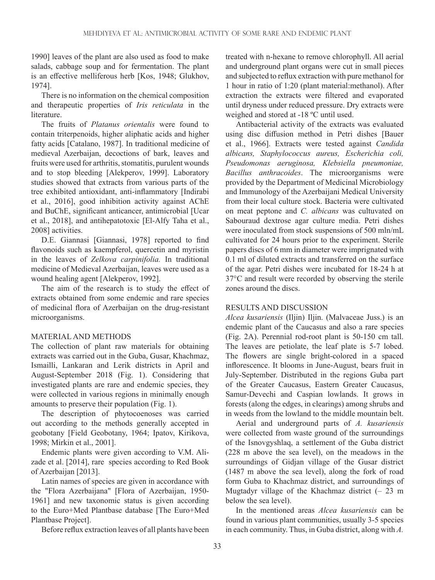1990] leaves of the plant are also used as food to make salads, cabbage soup and for fermentation. The plant is an effective melliferous herb [Kos, 1948; Glukhov, 1974].

There is no information on the chemical composition and therapeutic properties of *Iris reticulata* in the literature.

The fruits of *Platanus orientalis* were found to contain triterpenoids, higher aliphatic acids and higher fatty acids [Catalano, 1987]. In traditional medicine of medieval Azerbaijan, decoctions of bark, leaves and fruits were used for arthritis, stomatitis, purulent wounds and to stop bleeding [Alekperov, 1999]. Laboratory studies showed that extracts from various parts of the tree exhibited antioxidant, anti-inflammatory [Indirabi et al., 2016], good inhibition activity against AChE and BuChE, significant anticancer, antimicrobial [Ucar et al., 2018], and antihepatotoxic [El-Alfy Taha et al., 2008] activities.

D.E. Giannasi [Giannasi, 1978] reported to find flavonoids such as kaempferol, quercetin and myristin in the leaves of *Zelkova carpinifolia.* In traditional medicine of Medieval Azerbaijan, leaves were used as a wound healing agent [Alekperov, 1992].

The aim of the research is to study the effect of extracts obtained from some endemic and rare species of medicinal flora of Azerbaijan on the drug-resistant microorganisms.

# MATERIAL AND METHODS

The collection of plant raw materials for obtaining extracts was carried out in the Guba, Gusar, Khachmaz, Ismailli, Lankaran and Lerik districts in April and August-September 2018 (Fig. 1). Considering that investigated plants are rare and endemic species, they were collected in various regions in minimally enough amounts to preserve their population (Fig. 1).

The description of phytocoenoses was carried out according to the methods generally accepted in geobotany [Field Geobotany, 1964; Ipatov, Kirikova, 1998; Mirkin et al., 2001].

Endemic plants were given according to V.M. Alizade et al. [2014], rare species according to Red Book of Azerbaijan [2013].

Latin names of species are given in accordance with the "Flora Azerbaijana" [Flora of Azerbaijan, 1950- 1961] and new taxonomic status is given according to the Euro+Med Plantbase database [The Euro+Med Plantbase Project].

Before reflux extraction leaves of all plants have been

treated with n-hexane to remove chlorophyll. All aerial and underground plant organs were cut in small pieces and subjected to reflux extraction with pure methanol for 1 hour in ratio of 1:20 (plant material:methanol). After extraction the extracts were filtered and evaporated until dryness under reduced pressure. Dry extracts were weighed and stored at -18 ºC until used.

Antibacterial activity of the extracts was evaluated using disc diffusion method in Petri dishes [Bauer et al., 1966]. Extracts were tested against *Candida albicans, Staphylococcus aureus, Escherichia coli, Pseudomonas aeruginosa, Klebsiella pneumoniae, Bacillus anthracoides*. The microorganisms were provided by the Department of Medicinal Microbiology and Immunology of the Azerbaijani Medical University from their local culture stock. Bacteria were cultivated on meat peptone and *C. albicans* was cultuvated on Sabouraud dextrose agar culture media. Petri dishes were inoculated from stock suspensions of 500 mln/mL cultivated for 24 hours prior to the experiment. Sterile papers discs of 6 mm in diameter were imprignated with 0.1 ml of diluted extracts and transferred on the surface of the agar. Petri dishes were incubated for 18-24 h at 37°C and result were recorded by observing the sterile zones around the discs.

## RESULTS AND DISCUSSION

*Alcea kusariensis* (Iljin) Iljin. (Malvaceae Juss.) is an endemic plant of the Caucasus and also a rare species (Fig. 2A). Perennial rod-root plant is 50-150 cm tall. The leaves are petiolate, the leaf plate is 5-7 lobed. The flowers are single bright-colored in a spaced inflorescence. It blooms in June-August, bears fruit in July-September. Distributed in the regions Guba part of the Greater Caucasus, Eastern Greater Caucasus, Samur-Devechi and Caspian lowlands. It grows in forests (along the edges, in clearings) among shrubs and in weeds from the lowland to the middle mountain belt.

Aerial and underground parts of *A. kusariensis*  were collected from waste ground of the surroundings of the Isnovgyshlaq, a settlement of the Guba district (228 m above the sea level), on the meadows in the surroundings of Gidjan village of the Gusar district (1487 m above the sea level), along the fork of road form Guba to Khachmaz district, and surroundings of Mugtadyr village of the Khachmaz district  $(-23 \text{ m})$ below the sea level).

In the mentioned areas *Alcea kusariensis* can be found in various plant communities, usually 3-5 species in each community. Thus, in Guba district, along with *A.*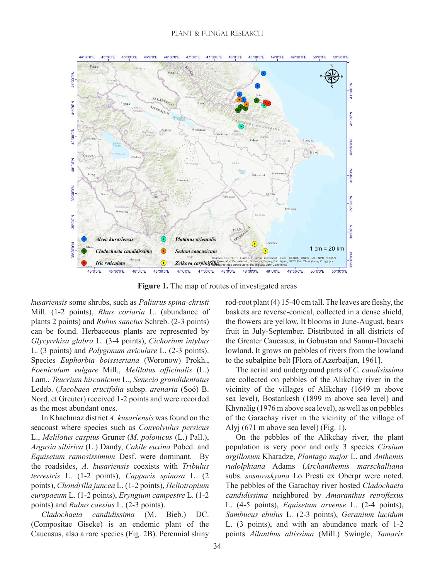

**Figure 1.** The map of routes of investigated areas

*kusariensis* some shrubs, such as *Paliurus spina-christi* Mill. (1-2 points), *Rhus coriaria* L. (abundance of plants 2 points) and *Rubus sanctus* Schreb. (2-3 points) can be found. Herbaceous plants are represented by *Glycyrrhiza glabra* L. (3-4 points), *Cichorium intybus*  L. (3 points) and *Polygonum aviculare* L. (2-3 points). Species *Euphorbia boissieriana* (Woronow) Prokh., *Foeniculum vulgare* Mill., *Melilotus officinalis* (L.) Lam., *Teucrium hircanicum* L., *Senecio grandidentatus* Ledeb. (*Jacobaea erucifolia* subsp. *arenaria* (Soó) B. Nord. et Greuter) received 1-2 points and were recorded as the most abundant ones.

In Khachmaz district *A. kusariensis* was found on the seacoast where species such as *Convolvulus persicus*  L., *Melilotus caspius* Gruner (*M. polonicus* (L.) Pall.), *Argusia sibirica* (L.) Dandy, *Cakile euxina* Pobed. and *Equisetum ramosissimum* Desf. were dominant. By the roadsides, *A. kusariensis* coexists with *Tribulus terrestris* L. (1-2 points), *Capparis spinosa* L. (2 points), *Chondrilla juncea* L. (1-2 points), *Heliotropium europaeum* L. (1-2 points), *Eryngium campestre* L. (1-2 points) and *Rubus caesius* L. (2-3 points).

*Cladochaeta candidissima* (M. Bieb.) DC. (Compositae Giseke) is an endemic plant of the Caucasus, also a rare species (Fig. 2B). Perennial shiny rod-root plant (4) 15-40 cm tall. The leaves are fleshy, the baskets are reverse-conical, collected in a dense shield, the flowers are yellow. It blooms in June-August, bears fruit in July-September. Distributed in all districts of the Greater Caucasus, in Gobustan and Samur-Davachi lowland. It grows on pebbles of rivers from the lowland to the subalpine belt [Flora of Azerbaijan, 1961].

The aerial and underground parts of *C. candisissima*  are collected on pebbles of the Alikchay river in the vicinity of the villages of Alikchay (1649 m above sea level), Bostankesh (1899 m above sea level) and Khynalig (1976 m above sea level), as well as on pebbles of the Garachay river in the vicinity of the village of Alyj (671 m above sea level) (Fig. 1).

On the pebbles of the Alikchay river, the plant population is very poor and only 3 species *Cirsium argillosum* Kharadze, *Plantago major* L. and *Anthemis rudolphiana* Adams (*Archanthemis marschalliana*  subs. *sosnovskyana* Lo Presti ex Oberpr were noted. The pebbles of the Garachay river hosted *Cladochaeta candidissima* neighbored by *Amaranthus retroflexus* L. (4-5 points), *Equisetum arvense* L. (2-4 points), *Sambucus ebulus* L. (2-3 points), *Geranium lucidum* L. (3 points), and with an abundance mark of 1-2 points *Ailanthus altissima* (Mill.) Swingle, *Tamarix*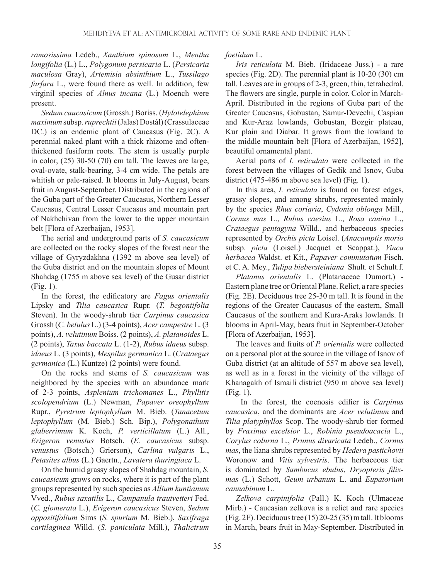*ramosissima* Ledeb., *Xanthium spinosum* L., *Mentha longifolia* (L.) L., *Polygonum persicaria* L. (*Persicaria maculosa* Gray), *Artemisia absinthium* L., *Tussilago farfara* L., were found there as well. In addition, few virginil species of *Alnus incana* (L.) Moench were present.

*Sedum caucasicum* (Grossh.) Boriss. (*Hylotelephium maximum* subsp. *ruprechtii* (Jalas) Dostál) (Crassulaceae DC.) is an endemic plant of Caucasus (Fig. 2C). A perennial naked plant with a thick rhizome and oftenthickened fusiform roots. The stem is usually purple in color, (25) 30-50 (70) cm tall. The leaves are large, oval-ovate, stalk-bearing, 3-4 cm wide. The petals are whitish or pale-raised. It blooms in July-August, bears fruit in August-September. Distributed in the regions of the Guba part of the Greater Caucasus, Northern Lesser Caucasus, Central Lesser Caucasus and mountain part of Nakhchivan from the lower to the upper mountain belt [Flora of Azerbaijan, 1953].

The aerial and underground parts of *S. caucasicum* are collected on the rocky slopes of the forest near the village of Gyryzdakhna (1392 m above sea level) of the Guba district and on the mountain slopes of Mount Shahdag (1755 m above sea level) of the Gusar district (Fig. 1).

In the forest, the edificatory are *Fagus orientalis*  Lipsky and *Tilia caucasica* Rupr. (*T. begoniifolia*  Steven). In the woody-shrub tier *Carpinus caucasica*  Grossh (*C. betulus* L.) (3-4 points), *Acer campestre* L. (3 points), *A. velutinum* Boiss. (2 points), *A. platanoides* L. (2 points), *Taxus baccata* L. (1-2), *Rubus idaeus* subsp. *idaeus* L. (3 points), *Mespilus germanica* L. (*Crataegus germanica* (L.) Kuntze) (2 points) were found.

On the rocks and stems of *S. caucasicum* was neighbored by the species with an abundance mark of 2-3 points, *Asplenium trichomanes* L., *Phyllitis scolopendrium* (L.) Newman, *Papaver oreophyllum*  Rupr., *Pyretrum leptophyllum* M. Bieb. (*Tanacetum leptophyllum* (M. Bieb.) Sch. Bip.), *Polygonathum glaberrimum* K. Koch, *P. verticillatum* (L.) All., *Erigeron venustus* Botsch. (*E. caucasicus* subsp. *venustus* (Botsch.) Grierson), *Carlina vulgaris* L., *Petasites albus* (L.) Gaertn., *Lavatera thuringiaca* L.

On the humid grassy slopes of Shahdag mountain, *S. caucasicum* grows on rocks, where it is part of the plant groups represented by such species as *Allium kuntianum* Vved., *Rubus saxatilis* L., *Campanula trautvetteri* Fed. (*C. glomerata* L.), *Erigeron caucasicus* Steven, *Sedum oppositifolium* Sims (*S. spurium* M. Bieb.), *Saxifraga cartilaginea* Willd. (*S. paniculata* Mill.), *Thalictrum*  *foetidum* L.

*Iris reticulata* M. Bieb. (Iridaceae Juss.) - a rare species (Fig. 2D). The perennial plant is 10-20 (30) cm tall. Leaves are in groups of 2-3, green, thin, tetrahedral. The flowers are single, purple in color. Color in March-April. Distributed in the regions of Guba part of the Greater Caucasus, Gobustan, Samur-Devechi, Caspian and Kur-Araz lowlands, Gobustan, Bozgir plateau, Kur plain and Diabar. It grows from the lowland to the middle mountain belt [Flora of Azerbaijan, 1952], beautiful ornamental plant.

Aerial parts of *I. reticulata* were collected in the forest between the villages of Gedik and Isnov, Guba district (475-486 m above sea level) (Fig. 1).

In this area, *I. reticulata* is found on forest edges, grassy slopes, and among shrubs, represented mainly by the species *Rhus coriaria*, *Cydonia oblonga* Mill., *Cornus mas* L., *Rubus caesius* L., *Rosa canina* L., *Crataegus pentagyna* Willd., and herbaceous species represented by *Orchis picta* Loisel. (*Anacamptis morio*  subsp. *picta* (Loisel.) Jacquet et Scappat.), *Vinca herbacea* Waldst. et Kit., *Papaver commutatum* Fisch. et C. A. Mey., *Tulipa biebersteiniana* Shult. et Schult.f.

*Platanus orientalis* L. (Platanaceae Dumort.) - Eastern plane tree or Oriental Plane. Relict, a rare species (Fig. 2E). Deciduous tree 25-30 m tall. It is found in the regions of the Greater Caucasus of the eastern, Small Caucasus of the southern and Kura-Araks lowlands. It blooms in April-May, bears fruit in September-October [Flora of Azerbaijan, 1953].

The leaves and fruits of *P. orientalis* were collected on a personal plot at the source in the village of Isnov of Guba district (at an altitude of 557 m above sea level), as well as in a forest in the vicinity of the village of Khanagakh of Ismaili district (950 m above sea level) (Fig. 1).

 In the forest, the coenosis edifier is *Carpinus caucasica*, and the dominants are *Acer velutinum* and *Tilia platyphyllos* Scop. The woody-shrub tier formed by *Fraxinus excelsior* L., *Robinia pseudoacacia* L., *Corylus colurna* L., *Prunus divaricata* Ledeb., *Cornus mas*, the liana shrubs represented by *Hedera pastichovii*  Woronow and *Vitis sylvestris*. The herbaceous tier is dominated by *Sambucus ebulus*, *Dryopteris filixmas* (L.) Schott, *Geum urbanum* L. and *Eupatorium cannabinum* L.

*Zelkova carpinifolia* (Pall.) K. Koch (Ulmaceae Mirb.) - Caucasian zelkova is a relict and rare species (Fig. 2F). Deciduous tree (15) 20-25 (35) m tall. It blooms in March, bears fruit in May-September. Distributed in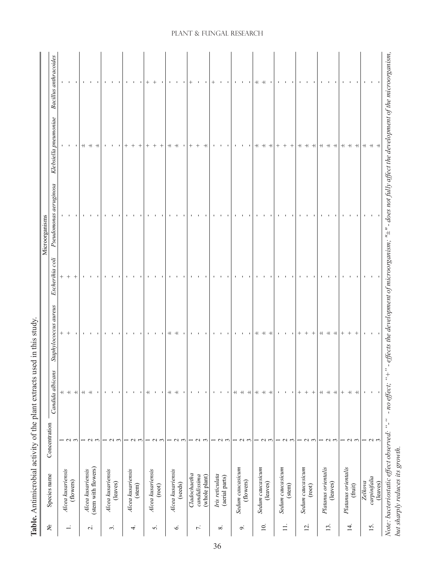|                     |                                           |                 |                                  |                         |                 | Microorganisms                                                                                                  |                           |                              |
|---------------------|-------------------------------------------|-----------------|----------------------------------|-------------------------|-----------------|-----------------------------------------------------------------------------------------------------------------|---------------------------|------------------------------|
| ዴ                   | Species name                              | Concentration   | Candida albicans                 | Staphylococcus aureus   | Escherihia coli | Pseudomonas aeruginosa                                                                                          | Klebsiella pneumoniae     | <b>Bacillus</b> anthracoides |
|                     | Alcea kusariensis                         |                 | $\overline{+}$                   |                         |                 |                                                                                                                 |                           |                              |
| $\div$              | (flowers)                                 | $\sim$ $\sim$   | $+$                              |                         | $\! + \!\!\!\!$ |                                                                                                                 | $\mathbf{1}$ $\mathbf{1}$ | $\mathbf{L}_{\rm{c}}$        |
|                     |                                           |                 | $+$                              |                         |                 |                                                                                                                 |                           | $\blacksquare$               |
|                     | Alcea kusariensis                         |                 | $+$                              |                         |                 |                                                                                                                 | $+$                       |                              |
| $\overline{c}$      | (stem with flowers)                       | $\sim$          | $+$                              |                         |                 |                                                                                                                 | $+$                       | $\blacksquare$               |
|                     |                                           | $\mathfrak{g}$  | $\mathbf{I}$                     |                         |                 |                                                                                                                 | $+$                       |                              |
|                     | Alcea kusariensis                         |                 | $\blacksquare$                   |                         |                 |                                                                                                                 | $\mathbf{I}$              |                              |
| $\dot{\mathcal{E}}$ | (leaves)                                  | $\sim$          | $\blacksquare$                   |                         |                 |                                                                                                                 |                           |                              |
|                     |                                           | $\sim$          | $\mathbf{I}$                     |                         |                 |                                                                                                                 |                           |                              |
|                     |                                           |                 | $\mathbf{I}$                     |                         |                 |                                                                                                                 | $^{+}$                    |                              |
| $\overline{4}$      | Alcea kusariensis<br>(stem)               | $\sim$          | $\mathbf{I}$                     |                         |                 |                                                                                                                 | $^{+}$                    |                              |
|                     |                                           |                 | ٠                                |                         |                 |                                                                                                                 |                           |                              |
|                     |                                           |                 | $^+$                             |                         |                 |                                                                                                                 | $^{+}$                    | $^+$                         |
| 5.                  | Alcea kusariensis                         | $\mathbf{\sim}$ | $\blacksquare$                   |                         |                 |                                                                                                                 | $^{+}$                    | $^{+}$                       |
|                     | (root)                                    | 3               | $\blacksquare$                   |                         |                 |                                                                                                                 | $^{+}$                    |                              |
|                     |                                           |                 | $\! + \!$                        | $^+$                    |                 |                                                                                                                 | $^{\rm +}$                |                              |
| $\dot{\circ}$       | Alcea kusariensis                         |                 | $\qquad \qquad +$                | $^+$                    |                 |                                                                                                                 | $+$                       |                              |
|                     | (seeds)                                   | $\sim$ $\sim$   | $\blacksquare$                   |                         |                 |                                                                                                                 |                           |                              |
|                     | Cladochaetha                              |                 | $\blacksquare$                   |                         |                 |                                                                                                                 | $^{+}$                    |                              |
| $\vec{r}$ .         | candidissima                              | $\sim$          | $\mathbf{u}$                     | $\mathbf{I}$            |                 |                                                                                                                 |                           |                              |
|                     |                                           |                 |                                  |                         |                 |                                                                                                                 |                           |                              |
|                     | (whole plant)                             | $\mathfrak{g}$  | $\blacksquare$                   | $\blacksquare$          |                 |                                                                                                                 | $^+$                      | $\blacksquare$               |
|                     | Iris reticulata                           |                 | $\blacksquare$                   |                         |                 |                                                                                                                 |                           |                              |
| $\infty$            | (aerial parts)                            | $\sim$ $\sim$   | $\sim 1$ , $\sim 1$              |                         |                 |                                                                                                                 |                           |                              |
|                     |                                           |                 |                                  |                         |                 |                                                                                                                 |                           |                              |
|                     |                                           |                 | $^+$                             |                         |                 |                                                                                                                 |                           |                              |
| o,                  | Sedum caucasicum                          | $\sim$          | $+$                              |                         |                 |                                                                                                                 |                           | $\mathbf{I}$                 |
|                     | (flowers)                                 | $\mathfrak{g}$  | $^{\rm +}$                       |                         |                 |                                                                                                                 |                           |                              |
|                     |                                           |                 | $^{\rm +}$                       | $+$                     |                 |                                                                                                                 | $^+$                      | $^+$                         |
| $\overline{10}$ .   | Sedum caucasicum                          |                 | $^{\rm +}$                       | $+$                     |                 |                                                                                                                 | $^{\rm +}$                | $+$                          |
|                     | (leaves)                                  | $\sim$ $\sim$   | $+$                              | $+$                     |                 |                                                                                                                 | $+$                       |                              |
|                     |                                           |                 | $\blacksquare$                   | $\mathbf{I}$            |                 |                                                                                                                 | $^{+}$                    | $\mathbf{I}$                 |
| $\exists$           | Sedum caucasicum                          | $\sim$          | $\mathbf{u}$                     | $\mathbf{I}$            |                 |                                                                                                                 | $\hspace{0.1mm} +$        | $\blacksquare$               |
|                     | (stem)                                    | $\mathfrak{g}$  | $\mathbf{L}_{\rm{c}}$            |                         |                 |                                                                                                                 | $^{+}$                    |                              |
|                     |                                           |                 | $^{+}$                           | $^{+}$                  |                 |                                                                                                                 | $\! + \!$                 |                              |
| $\overline{2}$ .    | Sedum caucasicum                          | $\mathbf 2$     |                                  |                         |                 |                                                                                                                 | $+$                       | $\mathbf{I}$                 |
|                     | (root)                                    | 3               |                                  | $^{+}$                  |                 |                                                                                                                 | $+$                       |                              |
|                     | Platanus orientalis                       |                 | $^+$                             | $+$                     |                 |                                                                                                                 | $^{+}$                    |                              |
| 13.                 | (leaves)                                  | $\sim$          | $^{\rm +}$                       | $+$                     |                 |                                                                                                                 | $+ +$                     | $\mathbf{L}$                 |
|                     |                                           | $\overline{3}$  | $+$                              | $+$                     |                 |                                                                                                                 |                           |                              |
|                     |                                           |                 | $^{+}$                           |                         |                 |                                                                                                                 | $\pm$                     | $\blacksquare$               |
| 14.                 | Platanus orientalis                       | $\sim$          | $+$                              |                         |                 |                                                                                                                 | $+$                       | $\mathbf{I}$                 |
|                     | (fruit)                                   | $\mathfrak{g}$  | $\begin{array}{c} + \end{array}$ | $^{+}$                  |                 |                                                                                                                 | $^{\rm +}$                | $\mathbf{I}$                 |
|                     | Zelkova                                   |                 | $\mathbf{I}$                     |                         |                 |                                                                                                                 |                           |                              |
| 15.                 | carpinifalia                              |                 | $\overline{\phantom{a}}$         | $\mathbf{1}=\mathbf{1}$ |                 |                                                                                                                 |                           | $\mathbf{1}=\mathbf{1}$      |
|                     | (leaves)                                  | $\sim$ $\sim$   |                                  |                         |                 |                                                                                                                 | $+ + +$                   |                              |
|                     | Note: bacteriostatic effect observed: "-" |                 | - no effect; "+                  |                         |                 | ffects the development of microorganism; " $\pm$ " - does not fully affect the development of the microorganism |                           |                              |
|                     |                                           |                 |                                  |                         |                 |                                                                                                                 |                           |                              |
|                     | but sharply reduces its growth.           |                 |                                  |                         |                 |                                                                                                                 |                           |                              |

# Table. Antimicrobial activity of the plant extracts used in this study. **Table.** Antimicrobial activity of the plant extracts used in this study.

# Plant & Fungal Research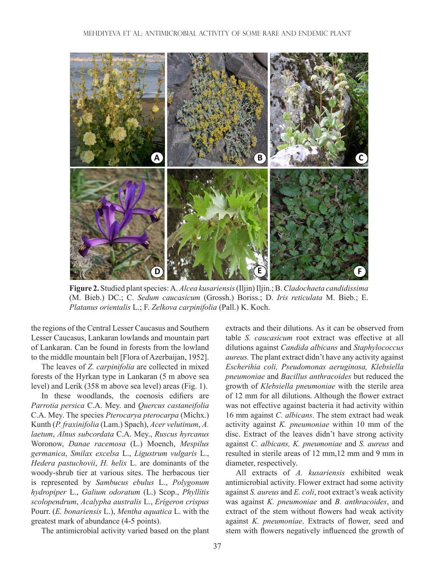

**Figure 2.** Studied plant species: A. *Alcea kusariensis* (Iljin) Iljin.; B. *Cladochaeta candidissima* (M. Bieb.) DC.; C. *Sedum caucasicum* (Grossh.) Boriss.; D. *Iris reticulata* M. Bieb.; E. *Platanus orientalis* L.; F. *Zelkova carpinifolia* (Pall.) K. Koch.

the regions of the Central Lesser Caucasus and Southern Lesser Caucasus, Lankaran lowlands and mountain part of Lankaran. Can be found in forests from the lowland to the middle mountain belt [Flora of Azerbaijan, 1952].

The leaves of *Z. carpinifolia* are collected in mixed forests of the Hyrkan type in Lankaran (5 m above sea level) and Lerik (358 m above sea level) areas (Fig. 1).

In these woodlands, the coenosis edifiers are *Parrotia persica* C.A. Mey. and *Quercus castaneifolia*  C.A. Mey. The species *Pterocarya pterocarpa* (Michx.) Kunth (*P. fraxinifolia* (Lam.) Spach), *Acer velutinum*, *A. laetum*, *Alnus subcordata* C.A. Mey., *Ruscus hyrcanus*  Woronow, *Danae racemosa* (L.) Moench, *Mespilus germanica*, *Smilax excelsa* L., *Ligustrum vulgaris* L., *Hedera pastuchovii*, *H. helix* L. are dominants of the woody-shrub tier at various sites. The herbacous tier is represented by *Sambucus ebulus* L., *Polygonum hydropiper* L., *Galium odoratum* (L.) Scop., *Phyllitis scolopendrum*, *Acalypha australis* L., *Erigeron crispus*  Pourr. (*E. bonariensis* L.), *Mentha aquatica* L. with the greatest mark of abundance (4-5 points).

The antimicrobial activity varied based on the plant

extracts and their dilutions. As it can be observed from table *S. caucasicum* root extract was effective at all dilutions against *Candida albicans* and *Staphylococcus aureus.* The plant extract didn't have any activity against *Escherihia coli, Pseudomonas aeruginosa, Klebsiella pneumoniae* and *Bacillus anthracoides* but reduced the growth of *Klebsiella pneumoniae* with the sterile area of 12 mm for all dilutions. Although the flower extract was not effective against bacteria it had activity within 16 mm against *C. albicans*. The stem extract had weak activity against *K. pneumoniae* within 10 mm of the disc. Extract of the leaves didn't have strong activity against *C. albicans, K. pneumoniae* and *S. aureus* and resulted in sterile areas of 12 mm,12 mm and 9 mm in diameter, respectively.

All extracts of *A. kusariensis* exhibited weak antimicrobial activity. Flower extract had some activity against *S. aureus* and *E. coli*, root extract's weak activity was against *K. pneumoniae* and *B. anthracoides*, and extract of the stem without flowers had weak activity against *K. pneumoniae*. Extracts of flower, seed and stem with flowers negatively influenced the growth of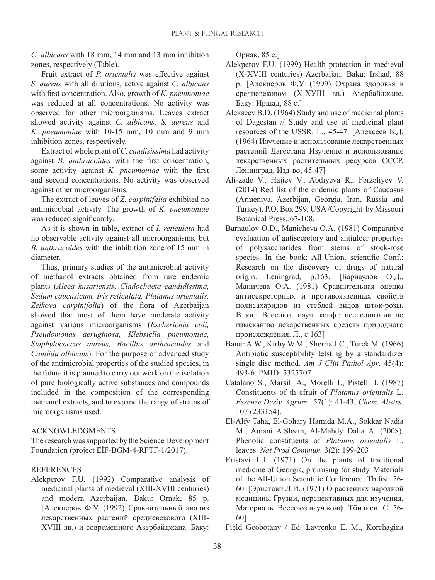*C. albicans* with 18 mm, 14 mm and 13 mm inhibition zones, respectively (Table).

Fruit extract of *P. orientalis* was effective against *S. aureus* with all dilutions, active against *C. albicans*  with first concentration. Also, growth of *K. pneumoniae*  was reduced at all concentrations. No activity was observed for other microorganisms. Leaves extract showed activity against *C. albicans, S. aureus* and *K. pneumoniae* with 10-15 mm, 10 mm and 9 mm inhibition zones, respectively.

Extract of whole plant of *C. candisissima* had activity against *B. anthracoides* with the first concentration, some activity against *K. pneumoniae* with the first and second concentrations. No activity was observed against other microorganisms.

The extract of leaves of *Z. carpinifalia* exhibited no antimicrobial activity. The growth of *K. pneumoniae*  was reduced significantly.

As it is shown in table, extract of *I. reticulata* had no observable activity against all microorganisms, but *B. anthracoides* with the inhibition zone of 15 mm in diameter.

Thus, primary studies of the antimicrobial activity of methanol extracts obtained from rare endemic plants (*Alcea kusariensis, Cladochaeta candidissima, Sedum caucasicum, Iris reticulata, Platanus orientalis, Zelkova carpinifolia*) of the flora of Azerbaijan showed that most of them have moderate activity against various microorganisms (*Escherichia coli, Pseudomonas aeruginosa, Klebsiella pneumoniae, Staphylococcus aureus, Bacillus anthracoides* and *Candida albicans*). For the purpose of advanced study of the antimicrobial properties of the studied species, in the future it is planned to carry out work on the isolation of pure biologically active substances and compounds included in the composition of the corresponding methanol extracts, and to expand the range of strains of microorganisms used.

# ACKNOWLEDGMENTS

The research was supported by the Science Development Foundation (project EİF-BGM-4-RFTF-1/2017).

# **REFERENCES**

Alekperov F.U. (1992) Comparative analysis of medicinal plants of medieval (XIII-XVIII centuries) and modern Azerbaijan. Baku: Ornak, 85 p. [Алекперов Ф.У. (1992) Сравнительный анализ лекарственных растений средневекового (XIII-XVIII вв.) и современного Азербайджана. Баку: Орнак, 85 с.]

- Alekperov F.U. (1999) Health protection in medieval (X-XVIII centuries) Azerbaijan. Baku: Irshad, 88 p. [Алекперов Ф.У. (1999) Охрана здоровья в средневековом (Х-ХУШ вв.) Азербайджане. Баку: Иршад, 88 с.]
- Alekseev B.D. (1964) Study and use of medicinal plants of Dagestan // Study and use of medicinal plant resources of the USSR. L., 45-47. [Алексеев Б.Д. (1964) Изучение и использование лекарственных растений Дагестана Изучение и использование лекарственных растительных ресурсов СССР. Ленинград. Изд-во, 45-47]
- Ali-zade V., Hajiev V., Abdıyeva R., Fərzəliyev V. (2014) Red list of the endemic plants of Caucasus (Armeniya, Azerbijan, Georgia, Iran, Russia and Turkey). P.O. Box 299, USA /Copyright by Missouri Botanical Press.:67-108.
- Barnaulov O.D., Manicheva O.A. (1981) Comparative evaluation of antisecretory and antiulcer properties of polysaccharides from stems of stock-rose species. In the book: All-Union. scientific Conf.: Research on the discovery of drugs of natural origin. Leningrad, p.163. [Барнаулов О.Д., Маничева О.А. (1981) Сравнительная оценка антисекреторных и противоязвенных свойств полисахаридов из стеблей видов шток-розы. В кн.: Всесоюз. науч. конф.: исследования по изысканию лекарственных средств природного происхождения. Л., с.163]
- Bauer A.W., Kirby W.M., Sherris J.C., Turck M. (1966) Antibiotic susceptibility tetsting by a standardizer single disc method. *Am J Clin Pathol Apr*, 45(4): 493-6. PMID: 5325707
- Catalano S., Marsili A., Morelli I., Pistelli I. (1987) Constituents of th efruit of *Platanus orientalis* L. *Essenze Deriv. Agrum*.. 57(1): 41-43; *Chem. Abstrs*. 107 (233154).
- El-Alfy Taha, El-Gohary Hamida M.A., Sokkar Nadia M., Amani A.Sleem, Al-Mahdy Dalia A. (2008). Phenolic constituents of *Platanus orientalis* L. leaves. *Nat Prod Commun,* 3(2): 199-203
- Eristavi L.I. (1971) On the plants of traditional medicine of Georgia, promising for study. Materials of the All-Union Scientific Conference. Tbilisi: 56- 60. [Эристави Л.И. (1971) О растениях народной медицины Грузии, перспективных для изучения. Материалы Всесоюз.науч.конф. Тбилиси: С. 56- 60]

Field Geobotany / Ed. Lavrenko E. M., Korchagina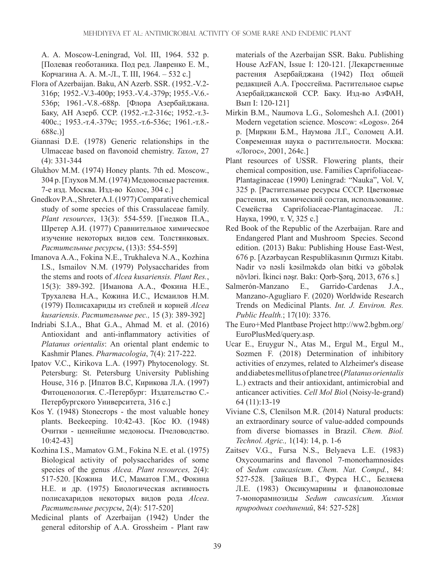A. A. Moscow-Leningrad, Vol. III, 1964. 532 p. [Полевая геоботаника. Под ред. Лавренко Е. М., Корчагина А. А. M.-Л., Т. III, 1964. – 532 с.]

- Flora of Azerbaijan. Baku, AN Azerb. SSR. (1952.-V.2- 316p; 1952.-V.3-400p; 1953.-V.4.-379p; 1955.-V.6.- 536p; 1961.-V.8.-688p. [Флора Азербайджана. Баку, АН Азерб. ССР. (1952.-т.2-316с; 1952.-т.3- 400с.; 1953.-т.4.-379с; 1955.-т.6-536с; 1961.-т.8.- 688с.)]
- Giannasi D.E. (1978) Generic relationships in the Ulmaceae based on flavonoid chemistry. *Taxon*, 27 (4): 331-344
- Glukhov M.M. (1974) Honey plants. 7th ed. Moscow., 304 p. [Глухов М.М. (1974) Медоносные растения. 7-е изд. Москва. Изд-во Колос, 304 с.]
- Gnedkov P.A., Shreter A.I. (1977) Comparative chemical study of some species of this Crassulaceae family. *Plant resources*, 13(3): 554-559. [Гнедков П.А., Шретер А.И. (1977) Сравнительное химическое изучение некоторых видов сем. Толстянковых. *Растительные ресурсы*, (13)3: 554-559]
- Imanova A.A., Fokina N.E., Trukhaleva N.A., Kozhina I.S., Ismailov N.M. (1979) Polysaccharides from the stems and roots of *Alcea kusariensis. Plant Res.*, 15(3): 389-392. [Иманова А.А., Фокина Н.Е., Трухалева Н.А., Кожина И.С., Исмаилов Н.М. (1979) Полисахариды из стеблей и корней *Alcea kusariensis*. *Растительные рес.,* 15 (3): 389-392]
- Indriabi S.I.A., Bhat G.A., Ahmad M. et al. (2016) Antioxidant and anti-inflammatory activities of *Platanus orientalis*: An oriental plant endemic to Kashmir Planes. *Pharmacologia*, 7(4): 217-222.
- Ipatov V.C., Kirikova L.A. (1997) Phytocenology. St. Petersburg: St. Petersburg University Publishing House, 316 p. [Ипатов В.С, Кирикова Л.А. (1997) Фитоценология. С.-Петербург: Издательство С.- Петербургского Университета, 316 с.]
- Kos Y. (1948) Stonecrops the most valuable honey plants. Beekeeping. 10:42-43. [Кос Ю. (1948) Очитки - ценнейшие медоносы. Пчеловодство. 10:42-43]
- Kozhina I.S., Mamatov G.M., Fokina N.E. et al. (1975) Biological activity of polysaccharides of some species of the genus *Alcea. Plant resources,* 2(4): 517-520. [Кожина И.С, Маматов Г.М., Фокина Н.Е. и др. (1975) Биологическая активность полисахаридов некоторых видов рода *Alcea*. *Растительные ресурсы*, 2(4): 517-520]
- Medicinal plants of Azerbaijan (1942) Under the general editorship of A.A. Grossheim - Plant raw

materials of the Azerbaijan SSR. Baku. Publishing House AzFAN, Issue I: 120-121. [Лекарственные растения Азербайджана (1942) Под общей редакцией А.А. Гроссгейма. Растительное сырье Азербайджанской ССР. Баку. Изд-во АзФАН, Вып I: 120-121]

- Mirkin B.M., Naumova L.G., Solomeshch A.I. (2001) Modern vegetation science. Moscow: «Logos». 264 p. [Миркин Б.М., Наумова Л.Г., Соломец А.И. Современная наука о растительности. Москва: «Логос», 2001, 264с.]
- Plant resources of USSR. Flowering plants, their chemical composition, use. Families Caprifoliaceae-Plantaginaceae (1990) Leningrad: "Nauka", Vol. V, 325 p. [Растительные ресурсы СССР. Цветковые растения, их химический состав, использование. Семейства Caprifoliaceae-Plantaginaceae. Л.: Наука, 1990, т. V, 325 с.]
- Red Book of the Republic of the Azerbaijan. Rare and Endangered Plant and Mushroom Species. Second edition. (2013) Baku: Publishing House East-West, 676 p. [Azərbaycan Respublikasının Qırmızı Kitabı. Nadir və nəsli kəsilməkdə olan bitki və göbələk növləri. İkinci nəşr. Bakı: Qərb-Şərq, 2013, 676 s.]
- Salmerón-Manzano E., Garrido-Cardenas J.A., Manzano-Agugliaro F. (2020) Worldwide Research Trends on Medicinal Plants. *Int. J. Environ. Res. Public Health.*; 17(10): 3376.
- The Euro+Med Plantbase Project http://ww2.bgbm.org/ EuroPlusMed/query.asp.
- Ucar E., Eruygur N., Atas M., Ergul M., Ergul M., Sozmen F. (2018) Determination of inhibitory activities of enzymes, related to Alzheimer's disease and diabetes mellitus of plane tree (*Platanus orientalis*  L.) extracts and their antioxidant, antimicrobial and anticancer activities. *Cell Mol Bio*l (Noisy-le-grand) 64 (11):13-19
- Viviane C.S, Clenilson M.R. (2014) Natural products: an extraordinary source of value-added compounds from diverse biomasses in Brazil. *Chem. Biol. Technol. Agric.,* 1(14): 14, p. 1-6
- Zaitsev V.G., Fursa N.S., Belyaeva L.E. (1983) Oxycoumarins and flavonol 7-monorhamnosides of *Sedum caucasicum*. *Chem. Nat. Compd.*, 84: 527-528. [Зайцев В.Г., Фурса Н.С., Беляева Л.Е. (1983) Оксикумарины и флавоноловые 7-монорамнозиды *Sedum caucasicum. Химия природных соединений*, 84: 527-528]